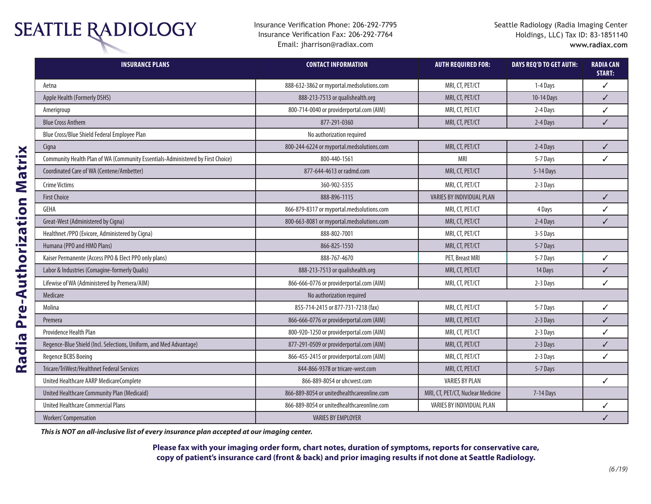## **SEATTLE RADIOLOGY**

Insurance Verification Phone: 206-292-7795 Insurance Verification Fax: 206-292-7764 Email: jharrison@radiax.com

| <b>INSURANCE PLANS</b>                                                          | <b>CONTACT INFORMATION</b>                 | <b>AUTH REQUIRED FOR:</b>         | <b>DAYS REQ'D TO GET AUTH:</b> | <b>RADIA CAN</b><br>START: |
|---------------------------------------------------------------------------------|--------------------------------------------|-----------------------------------|--------------------------------|----------------------------|
| Aetna                                                                           | 888-632-3862 or myportal.medsolutions.com  | MRI, CT, PET/CT                   | 1-4 Days                       | ✓                          |
| Apple Health (Formerly DSHS)                                                    | 888-213-7513 or qualishealth.org           | MRI, CT, PET/CT                   | 10-14 Days                     | $\checkmark$               |
| Amerigroup                                                                      | 800-714-0040 or providerportal.com (AIM)   | MRI, CT, PET/CT                   | 2-4 Days                       | ✓                          |
| <b>Blue Cross Anthem</b>                                                        | 877-291-0360                               | MRI, CT, PET/CT                   | 2-4 Days                       | ✓                          |
| Blue Cross/Blue Shield Federal Employee Plan                                    | No authorization required                  |                                   |                                |                            |
| Cigna                                                                           | 800-244-6224 or myportal.medsolutions.com  | MRI, CT, PET/CT                   | 2-4 Days                       | ✓                          |
| Community Health Plan of WA (Community Essentials-Administered by First Choice) | 800-440-1561                               | <b>MRI</b>                        | 5-7 Days                       | ✓                          |
| Coordinated Care of WA (Centene/Ambetter)                                       | 877-644-4613 or radmd.com                  | MRI, CT, PET/CT                   | 5-14 Days                      |                            |
| <b>Crime Victims</b>                                                            | 360-902-5355                               | MRI, CT, PET/CT                   | 2-3 Days                       |                            |
| <b>First Choice</b>                                                             | 888-896-1115                               | VARIES BY INDIVIDUAL PLAN         |                                | ✓                          |
| <b>GEHA</b>                                                                     | 866-879-8317 or myportal.medsolutions.com  | MRI, CT, PET/CT                   | 4 Days                         | ∕                          |
| Great-West (Administered by Cigna)                                              | 800-663-8081 or myportal.medsolutions.com  | MRI, CT, PET/CT                   | 2-4 Days                       | ✓                          |
| Healthnet /PPO (Evicore, Administered by Cigna)                                 | 888-802-7001                               | MRI, CT, PET/CT                   | 3-5 Days                       |                            |
| Humana (PPO and HMO Plans)                                                      | 866-825-1550                               | MRI, CT, PET/CT                   | 5-7 Days                       |                            |
| Kaiser Permanente (Access PPO & Elect PPO only plans)                           | 888-767-4670                               | PET, Breast MRI                   | 5-7 Days                       | ✓                          |
| Labor & Industries (Comagine-formerly Qualis)                                   | 888-213-7513 or qualishealth.org           | MRI, CT, PET/CT                   | 14 Days                        | ✓                          |
| Lifewise of WA (Administered by Premera/AIM)                                    | 866-666-0776 or providerportal.com (AIM)   | MRI, CT, PET/CT                   | 2-3 Days                       | ✓                          |
| Medicare                                                                        | No authorization required                  |                                   |                                |                            |
| Molina                                                                          | 855-714-2415 or 877-731-7218 (fax)         | MRI, CT, PET/CT                   | 5-7 Days                       | ✓                          |
| Premera                                                                         | 866-666-0776 or providerportal.com (AIM)   | MRI, CT, PET/CT                   | 2-3 Days                       | $\checkmark$               |
| Providence Health Plan                                                          | 800-920-1250 or providerportal.com (AIM)   | MRI, CT, PET/CT                   | 2-3 Days                       | ✓                          |
| Regence-Blue Shield (Incl. Selections, Uniform, and Med Advantage)              | 877-291-0509 or providerportal.com (AIM)   | MRI, CT, PET/CT                   | 2-3 Days                       | ✓                          |
| Regence BCBS Boeing                                                             | 866-455-2415 or providerportal.com (AIM)   | MRI, CT, PET/CT                   | 2-3 Days                       | ✓                          |
| Tricare/TriWest/Healthnet Federal Services                                      | 844-866-9378 or tricare-west.com           | MRI, CT, PET/CT                   | 5-7 Days                       |                            |
| United Healthcare AARP MedicareComplete                                         | 866-889-8054 or uhcwest.com                | <b>VARIES BY PLAN</b>             |                                | ✓                          |
| United Healthcare Community Plan (Medicaid)                                     | 866-889-8054 or unitedhealthcareonline.com | MRI, CT, PET/CT, Nuclear Medicine | 7-14 Days                      |                            |
| United Healthcare Commercial Plans                                              | 866-889-8054 or unitedhealthcareonline.com | VARIES BY INDIVIDUAL PLAN         |                                |                            |
| <b>Workers' Compensation</b>                                                    | <b>VARIES BY EMPLOYER</b>                  |                                   |                                |                            |

*This is NOT an all-inclusive list of every insurance plan accepted at our imaging center.* 

**Please fax with your imaging order form, chart notes, duration of symptoms, reports for conservative care, copy of patient's insurance card (front & back) and prior imaging results if not done at Seattle Radiology.**